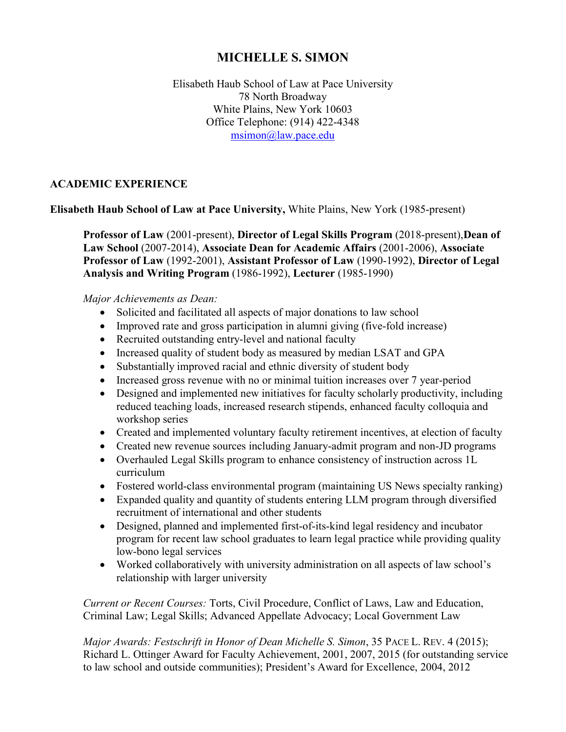# **MICHELLE S. SIMON**

Elisabeth Haub School of Law at Pace University 78 North Broadway White Plains, New York 10603 Office Telephone: (914) 422-4348 [msimon@law.pace.edu](mailto:msimon@law.pace.edu)

# **ACADEMIC EXPERIENCE**

**Elisabeth Haub School of Law at Pace University,** White Plains, New York (1985-present)

**Professor of Law** (2001-present), **Director of Legal Skills Program** (2018-present),**Dean of Law School** (2007-2014), **Associate Dean for Academic Affairs** (2001-2006), **Associate Professor of Law** (1992-2001), **Assistant Professor of Law** (1990-1992), **Director of Legal Analysis and Writing Program** (1986-1992), **Lecturer** (1985-1990)

## *Major Achievements as Dean:*

- Solicited and facilitated all aspects of major donations to law school
- Improved rate and gross participation in alumni giving (five-fold increase)
- Recruited outstanding entry-level and national faculty
- Increased quality of student body as measured by median LSAT and GPA
- Substantially improved racial and ethnic diversity of student body
- Increased gross revenue with no or minimal tuition increases over 7 year-period
- Designed and implemented new initiatives for faculty scholarly productivity, including reduced teaching loads, increased research stipends, enhanced faculty colloquia and workshop series
- Created and implemented voluntary faculty retirement incentives, at election of faculty
- Created new revenue sources including January-admit program and non-JD programs
- Overhauled Legal Skills program to enhance consistency of instruction across 1L curriculum
- Fostered world-class environmental program (maintaining US News specialty ranking)
- Expanded quality and quantity of students entering LLM program through diversified recruitment of international and other students
- Designed, planned and implemented first-of-its-kind legal residency and incubator program for recent law school graduates to learn legal practice while providing quality low-bono legal services
- Worked collaboratively with university administration on all aspects of law school's relationship with larger university

*Current or Recent Courses:* Torts, Civil Procedure, Conflict of Laws, Law and Education, Criminal Law; Legal Skills; Advanced Appellate Advocacy; Local Government Law

*Major Awards: Festschrift in Honor of Dean Michelle S. Simon*, 35 PACE L. REV. 4 (2015); Richard L. Ottinger Award for Faculty Achievement, 2001, 2007, 2015 (for outstanding service to law school and outside communities); President's Award for Excellence, 2004, 2012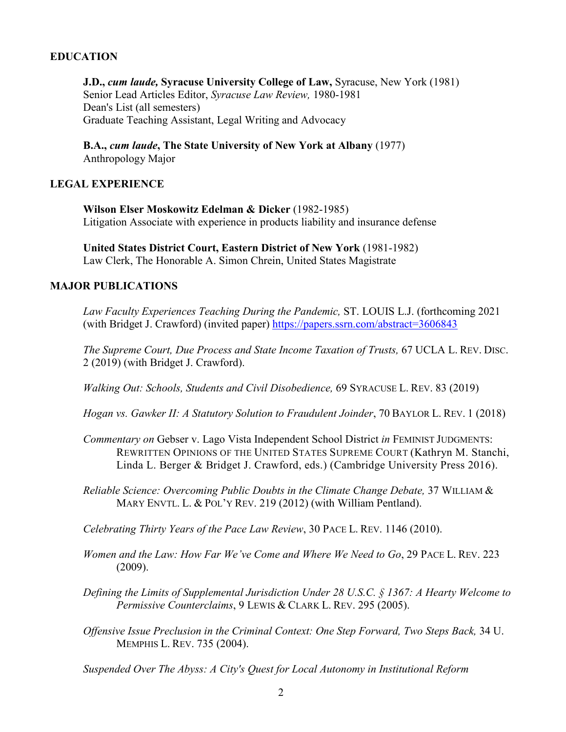## **EDUCATION**

**J.D.,** *cum laude,* **Syracuse University College of Law,** Syracuse, New York (1981) Senior Lead Articles Editor, *Syracuse Law Review,* 1980-1981 Dean's List (all semesters) Graduate Teaching Assistant, Legal Writing and Advocacy

**B.A.,** *cum laude***, The State University of New York at Albany** (1977) Anthropology Major

## **LEGAL EXPERIENCE**

**Wilson Elser Moskowitz Edelman & Dicker** (1982-1985) Litigation Associate with experience in products liability and insurance defense

**United States District Court, Eastern District of New York** (1981-1982) Law Clerk, The Honorable A. Simon Chrein, United States Magistrate

## **MAJOR PUBLICATIONS**

*Law Faculty Experiences Teaching During the Pandemic,* ST. LOUIS L.J. (forthcoming 2021 (with Bridget J. Crawford) (invited paper)<https://papers.ssrn.com/abstract=3606843>

*The Supreme Court, Due Process and State Income Taxation of Trusts,* 67 UCLA L. REV. DISC. 2 (2019) (with Bridget J. Crawford).

*Walking Out: Schools, Students and Civil Disobedience,* 69 SYRACUSE L. REV. 83 (2019)

*[Hogan vs. Gawker II: A Statutory Solution to Fraudulent Joinder](https://www.baylor.edu/law/review/doc.php/312514.pdf)*, 70 BAYLOR L. REV. 1 (2018)

- *Commentary on* Gebser v. Lago Vista Independent School District *in* FEMINIST JUDGMENTS: REWRITTEN OPINIONS OF THE UNITED STATES SUPREME COURT (Kathryn M. Stanchi, Linda L. Berger & Bridget J. Crawford, eds.) (Cambridge University Press 2016).
- *Reliable Science: Overcoming Public Doubts in the Climate Change Debate,* 37 WILLIAM & MARY ENVTL. L. & POL'Y REV. 219 (2012) (with William Pentland).

*Celebrating Thirty Years of the Pace Law Review*, 30 PACE L. REV. 1146 (2010).

- *Women and the Law: How Far We've Come and Where We Need to Go*, 29 PACE L. REV. 223 (2009).
- *Defining the Limits of Supplemental Jurisdiction Under 28 U.S.C. § 1367: A Hearty Welcome to Permissive Counterclaims*, 9 LEWIS & CLARK L. REV. 295 (2005).
- *Offensive Issue Preclusion in the Criminal Context: One Step Forward, Two Steps Back,* 34 U. MEMPHIS L. REV. 735 (2004).

*Suspended Over The Abyss: A City's Quest for Local Autonomy in Institutional Reform*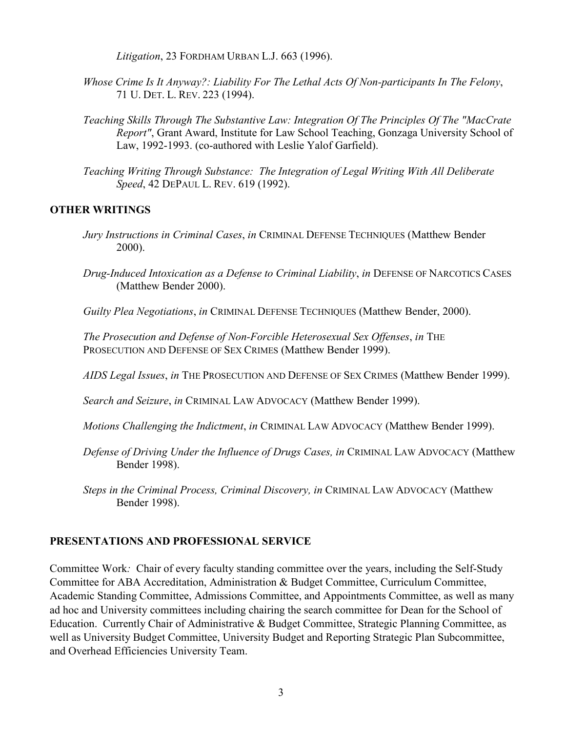*Litigation*, 23 FORDHAM URBAN L.J. 663 (1996).

- *Whose Crime Is It Anyway?: Liability For The Lethal Acts Of Non-participants In The Felony*, 71 U. DET. L. REV. 223 (1994).
- *Teaching Skills Through The Substantive Law: Integration Of The Principles Of The "MacCrate Report"*, Grant Award, Institute for Law School Teaching, Gonzaga University School of Law, 1992-1993. (co-authored with Leslie Yalof Garfield).
- *Teaching Writing Through Substance: The Integration of Legal Writing With All Deliberate Speed*, 42 DEPAUL L. REV. 619 (1992).

## **OTHER WRITINGS**

- *Jury Instructions in Criminal Cases*, *in* CRIMINAL DEFENSE TECHNIQUES (Matthew Bender 2000).
- *Drug-Induced Intoxication as a Defense to Criminal Liability*, *in* DEFENSE OF NARCOTICS CASES (Matthew Bender 2000).
- *Guilty Plea Negotiations*, *in* CRIMINAL DEFENSE TECHNIQUES (Matthew Bender, 2000).

*The Prosecution and Defense of Non-Forcible Heterosexual Sex Offenses*, *in* THE PROSECUTION AND DEFENSE OF SEX CRIMES (Matthew Bender 1999).

*AIDS Legal Issues*, *in* THE PROSECUTION AND DEFENSE OF SEX CRIMES (Matthew Bender 1999).

*Search and Seizure*, *in* CRIMINAL LAW ADVOCACY (Matthew Bender 1999).

*Motions Challenging the Indictment*, *in* CRIMINAL LAW ADVOCACY (Matthew Bender 1999).

- *Defense of Driving Under the Influence of Drugs Cases, in* CRIMINAL LAW ADVOCACY (Matthew Bender 1998).
- *Steps in the Criminal Process, Criminal Discovery, in* CRIMINAL LAW ADVOCACY (Matthew Bender 1998).

## **PRESENTATIONS AND PROFESSIONAL SERVICE**

Committee Work*:* Chair of every faculty standing committee over the years, including the Self-Study Committee for ABA Accreditation, Administration & Budget Committee, Curriculum Committee, Academic Standing Committee, Admissions Committee, and Appointments Committee, as well as many ad hoc and University committees including chairing the search committee for Dean for the School of Education. Currently Chair of Administrative & Budget Committee, Strategic Planning Committee, as well as University Budget Committee, University Budget and Reporting Strategic Plan Subcommittee, and Overhead Efficiencies University Team.